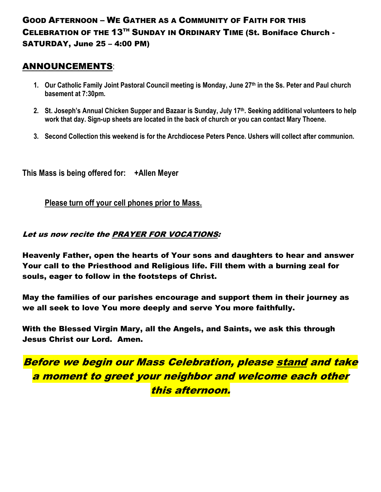# GOOD AFTERNOON – WE GATHER AS A COMMUNITY OF FAITH FOR THIS CELEBRATION OF THE 13TH SUNDAY IN ORDINARY TIME (St. Boniface Church - SATURDAY, June 25 – 4:00 PM)

### ANNOUNCEMENTS:

- **1. Our Catholic Family Joint Pastoral Council meeting is Monday, June 27th in the Ss. Peter and Paul church basement at 7:30pm.**
- **2. St. Joseph's Annual Chicken Supper and Bazaar is Sunday, July 17th. Seeking additional volunteers to help work that day. Sign-up sheets are located in the back of church or you can contact Mary Thoene.**
- **3. Second Collection this weekend is for the Archdiocese Peters Pence. Ushers will collect after communion.**

**This Mass is being offered for: +Allen Meyer**

**Please turn off your cell phones prior to Mass.**

#### Let us now recite the PRAYER FOR VOCATIONS:

Heavenly Father, open the hearts of Your sons and daughters to hear and answer Your call to the Priesthood and Religious life. Fill them with a burning zeal for souls, eager to follow in the footsteps of Christ.

May the families of our parishes encourage and support them in their journey as we all seek to love You more deeply and serve You more faithfully.

With the Blessed Virgin Mary, all the Angels, and Saints, we ask this through Jesus Christ our Lord. Amen.

Before we begin our Mass Celebration, please stand and take a moment to greet your neighbor and welcome each other this afternoon.